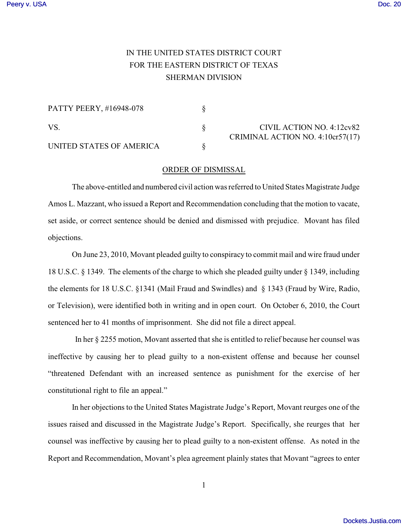## IN THE UNITED STATES DISTRICT COURT FOR THE EASTERN DISTRICT OF TEXAS SHERMAN DIVISION

| PATTY PEERY, #16948-078  |                                                               |
|--------------------------|---------------------------------------------------------------|
| VS.                      | CIVIL ACTION NO. 4:12cv82<br>CRIMINAL ACTION NO. 4:10cr57(17) |
| UNITED STATES OF AMERICA |                                                               |

## ORDER OF DISMISSAL

The above-entitled and numbered civil action was referred to United States Magistrate Judge Amos L. Mazzant, who issued a Report and Recommendation concluding that the motion to vacate, set aside, or correct sentence should be denied and dismissed with prejudice. Movant has filed objections.

On June 23, 2010, Movant pleaded guilty to conspiracy to commit mail and wire fraud under 18 U.S.C. § 1349. The elements of the charge to which she pleaded guilty under § 1349, including the elements for 18 U.S.C. §1341 (Mail Fraud and Swindles) and § 1343 (Fraud by Wire, Radio, or Television), were identified both in writing and in open court. On October 6, 2010, the Court sentenced her to 41 months of imprisonment. She did not file a direct appeal.

In her § 2255 motion, Movant asserted that she is entitled to relief because her counsel was ineffective by causing her to plead guilty to a non-existent offense and because her counsel "threatened Defendant with an increased sentence as punishment for the exercise of her constitutional right to file an appeal."

In her objections to the United States Magistrate Judge's Report, Movant reurges one of the issues raised and discussed in the Magistrate Judge's Report. Specifically, she reurges that her counsel was ineffective by causing her to plead guilty to a non-existent offense. As noted in the Report and Recommendation, Movant's plea agreement plainly states that Movant "agrees to enter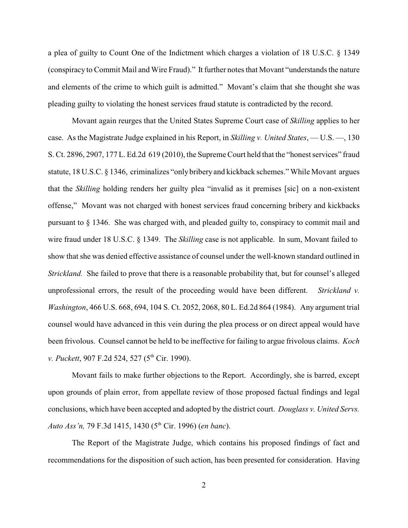a plea of guilty to Count One of the Indictment which charges a violation of 18 U.S.C. § 1349 (conspiracy to Commit Mail and Wire Fraud)." It further notes that Movant "understands the nature and elements of the crime to which guilt is admitted." Movant's claim that she thought she was pleading guilty to violating the honest services fraud statute is contradicted by the record.

Movant again reurges that the United States Supreme Court case of *Skilling* applies to her case. As the Magistrate Judge explained in his Report, in *Skilling v. United States*, — U.S. —, 130 S. Ct. 2896, 2907, 177 L. Ed.2d 619 (2010), the Supreme Court held that the "honest services" fraud statute, 18 U.S.C. § 1346, criminalizes "onlybribery and kickback schemes." While Movant argues that the *Skilling* holding renders her guilty plea "invalid as it premises [sic] on a non-existent offense," Movant was not charged with honest services fraud concerning bribery and kickbacks pursuant to § 1346. She was charged with, and pleaded guilty to, conspiracy to commit mail and wire fraud under 18 U.S.C. § 1349. The *Skilling* case is not applicable. In sum, Movant failed to show that she was denied effective assistance of counsel under the well-known standard outlined in *Strickland.* She failed to prove that there is a reasonable probability that, but for counsel's alleged unprofessional errors, the result of the proceeding would have been different. *Strickland v. Washington*, 466 U.S. 668, 694, 104 S. Ct. 2052, 2068, 80 L. Ed.2d 864 (1984). Any argument trial counsel would have advanced in this vein during the plea process or on direct appeal would have been frivolous. Counsel cannot be held to be ineffective for failing to argue frivolous claims. *Koch v. Puckett*, 907 F.2d 524, 527 (5<sup>th</sup> Cir. 1990).

Movant fails to make further objections to the Report. Accordingly, she is barred, except upon grounds of plain error, from appellate review of those proposed factual findings and legal conclusions, which have been accepted and adopted by the district court. *Douglass v. United Servs. Auto Ass'n,* 79 F.3d 1415, 1430 (5<sup>th</sup> Cir. 1996) (*en banc*).

The Report of the Magistrate Judge, which contains his proposed findings of fact and recommendations for the disposition of such action, has been presented for consideration. Having